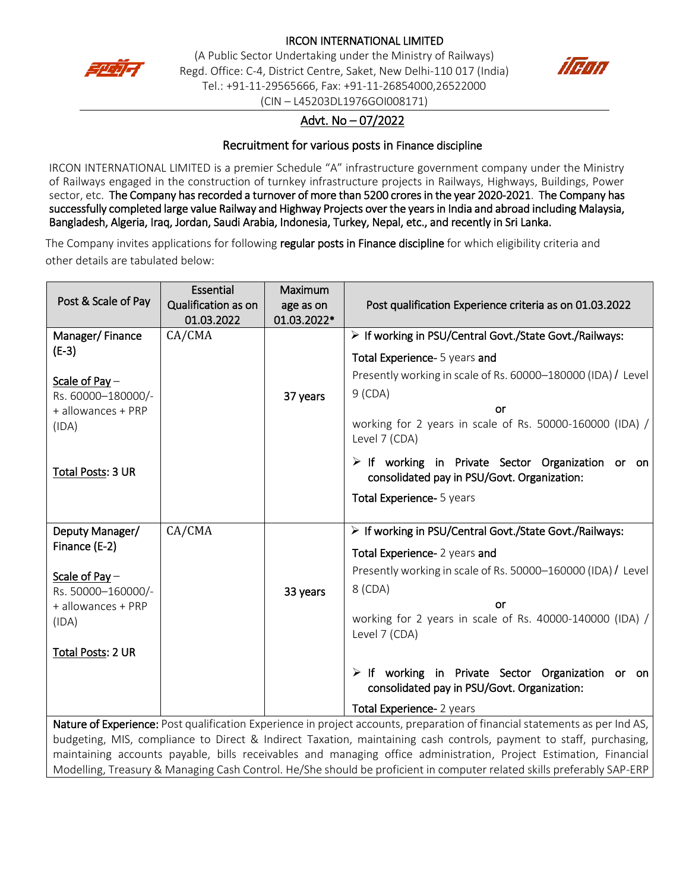

#### IRCON INTERNATIONAL LIMITED

(A Public Sector Undertaking under the Ministry of Railways) Regd. Office: C-4, District Centre, Saket, New Delhi-110 017 (India) Tel.: +91-11-29565666, Fax: +91-11-26854000,26522000



(CIN – L45203DL1976GOI008171)

# Advt. No – 07/2022

## Recruitment for various posts in Finance discipline

IRCON INTERNATIONAL LIMITED is a premier Schedule "A" infrastructure government company under the Ministry of Railways engaged in the construction of turnkey infrastructure projects in Railways, Highways, Buildings, Power sector, etc. The Company has recorded a turnover of more than 5200 crores in the year 2020-2021. The Company has successfully completed large value Railway and Highway Projects over the years in India and abroad including Malaysia, Bangladesh, Algeria, Iraq, Jordan, Saudi Arabia, Indonesia, Turkey, Nepal, etc., and recently in Sri Lanka.

The Company invites applications for following regular posts in Finance discipline for which eligibility criteria and other details are tabulated below:

| Post & Scale of Pay                                                                                                                                                                                                                           | Essential<br>Qualification as on | Maximum                  | Post qualification Experience criteria as on 01.03.2022                                                         |  |
|-----------------------------------------------------------------------------------------------------------------------------------------------------------------------------------------------------------------------------------------------|----------------------------------|--------------------------|-----------------------------------------------------------------------------------------------------------------|--|
|                                                                                                                                                                                                                                               | 01.03.2022                       | age as on<br>01.03.2022* |                                                                                                                 |  |
| Manager/Finance                                                                                                                                                                                                                               | CA/CMA                           |                          | > If working in PSU/Central Govt./State Govt./Railways:                                                         |  |
| $(E-3)$                                                                                                                                                                                                                                       |                                  |                          | Total Experience- 5 years and                                                                                   |  |
| Scale of Pay $-$                                                                                                                                                                                                                              |                                  |                          | Presently working in scale of Rs. 60000-180000 (IDA) / Level                                                    |  |
| Rs. 60000-180000/-                                                                                                                                                                                                                            |                                  | 37 years                 | $9$ (CDA)                                                                                                       |  |
| + allowances + PRP                                                                                                                                                                                                                            |                                  |                          | or                                                                                                              |  |
| (IDA)                                                                                                                                                                                                                                         |                                  |                          | working for 2 years in scale of Rs. 50000-160000 (IDA) /<br>Level 7 (CDA)                                       |  |
| Total Posts: 3 UR                                                                                                                                                                                                                             |                                  |                          | $\triangleright$ If working in Private Sector Organization or on<br>consolidated pay in PSU/Govt. Organization: |  |
|                                                                                                                                                                                                                                               |                                  |                          | Total Experience- 5 years                                                                                       |  |
|                                                                                                                                                                                                                                               |                                  |                          |                                                                                                                 |  |
| Deputy Manager/                                                                                                                                                                                                                               | CA/CMA                           |                          | > If working in PSU/Central Govt./State Govt./Railways:                                                         |  |
| Finance (E-2)                                                                                                                                                                                                                                 |                                  |                          | Total Experience- 2 years and                                                                                   |  |
| Scale of Pay $-$                                                                                                                                                                                                                              |                                  |                          | Presently working in scale of Rs. 50000-160000 (IDA) / Level                                                    |  |
| Rs. 50000-160000/-                                                                                                                                                                                                                            |                                  | 33 years                 | 8 (CDA)                                                                                                         |  |
| + allowances + PRP                                                                                                                                                                                                                            |                                  |                          | or                                                                                                              |  |
| (IDA)                                                                                                                                                                                                                                         |                                  |                          | working for 2 years in scale of Rs. 40000-140000 (IDA) /<br>Level 7 (CDA)                                       |  |
| Total Posts: 2 UR                                                                                                                                                                                                                             |                                  |                          |                                                                                                                 |  |
|                                                                                                                                                                                                                                               |                                  |                          | $\triangleright$ If working in Private Sector Organization or on<br>consolidated pay in PSU/Govt. Organization: |  |
|                                                                                                                                                                                                                                               |                                  |                          | Total Experience- 2 years                                                                                       |  |
| Nature of Experience: Post qualification Experience in project accounts, preparation of financial statements as per Ind AS,<br>budesting MIC compliance to Dinost Q Indicate Toughian mediatriping soch controls nouveaut to staff purchasing |                                  |                          |                                                                                                                 |  |

budgeting, MIS, compliance to Direct & Indirect Taxation, maintaining cash controls, payment to staff, purchasing, maintaining accounts payable, bills receivables and managing office administration, Project Estimation, Financial Modelling, Treasury & Managing Cash Control. He/She should be proficient in computer related skills preferably SAP-ERP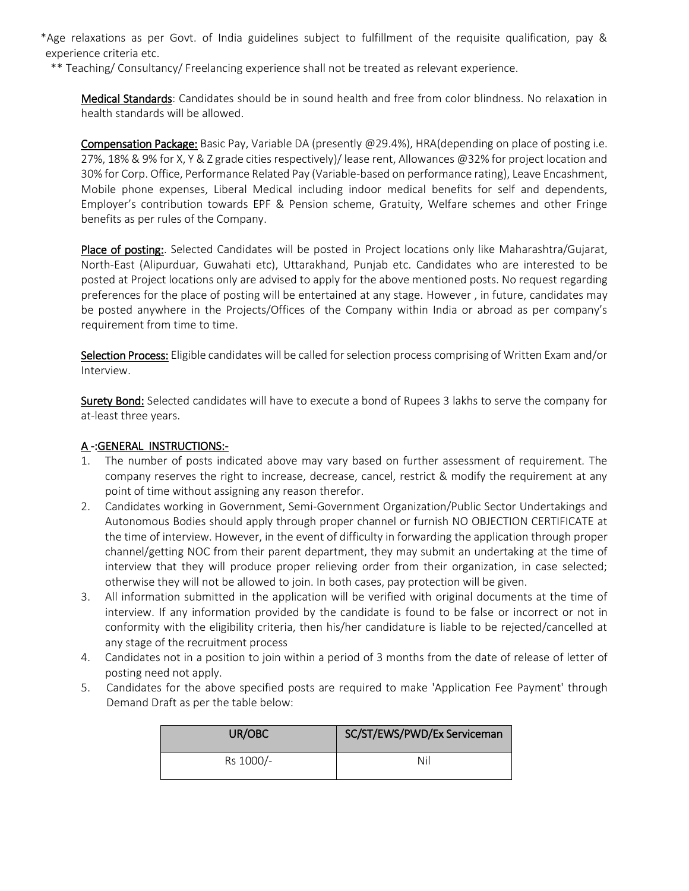\*Age relaxations as per Govt. of India guidelines subject to fulfillment of the requisite qualification, pay & experience criteria etc.

\*\* Teaching/ Consultancy/ Freelancing experience shall not be treated as relevant experience.

Medical Standards: Candidates should be in sound health and free from color blindness. No relaxation in health standards will be allowed.

Compensation Package: Basic Pay, Variable DA (presently @29.4%), HRA(depending on place of posting i.e. 27%, 18% & 9% for X, Y & Z grade cities respectively)/ lease rent, Allowances @32% for project location and 30% for Corp. Office, Performance Related Pay (Variable-based on performance rating), Leave Encashment, Mobile phone expenses, Liberal Medical including indoor medical benefits for self and dependents, Employer's contribution towards EPF & Pension scheme, Gratuity, Welfare schemes and other Fringe benefits as per rules of the Company.

Place of posting:. Selected Candidates will be posted in Project locations only like Maharashtra/Gujarat, North-East (Alipurduar, Guwahati etc), Uttarakhand, Punjab etc. Candidates who are interested to be posted at Project locations only are advised to apply for the above mentioned posts. No request regarding preferences for the place of posting will be entertained at any stage. However , in future, candidates may be posted anywhere in the Projects/Offices of the Company within India or abroad as per company's requirement from time to time.

Selection Process: Eligible candidates will be called for selection process comprising of Written Exam and/or Interview.

Surety Bond: Selected candidates will have to execute a bond of Rupees 3 lakhs to serve the company for at-least three years.

#### A -:GENERAL INSTRUCTIONS:-

- 1. The number of posts indicated above may vary based on further assessment of requirement. The company reserves the right to increase, decrease, cancel, restrict & modify the requirement at any point of time without assigning any reason therefor.
- 2. Candidates working in Government, Semi-Government Organization/Public Sector Undertakings and Autonomous Bodies should apply through proper channel or furnish NO OBJECTION CERTIFICATE at the time of interview. However, in the event of difficulty in forwarding the application through proper channel/getting NOC from their parent department, they may submit an undertaking at the time of interview that they will produce proper relieving order from their organization, in case selected; otherwise they will not be allowed to join. In both cases, pay protection will be given.
- 3. All information submitted in the application will be verified with original documents at the time of interview. If any information provided by the candidate is found to be false or incorrect or not in conformity with the eligibility criteria, then his/her candidature is liable to be rejected/cancelled at any stage of the recruitment process
- 4. Candidates not in a position to join within a period of 3 months from the date of release of letter of posting need not apply.
- 5. Candidates for the above specified posts are required to make 'Application Fee Payment' through Demand Draft as per the table below:

| UR/OBC    | SC/ST/EWS/PWD/Ex Serviceman |
|-----------|-----------------------------|
| Rs 1000/- | Nil                         |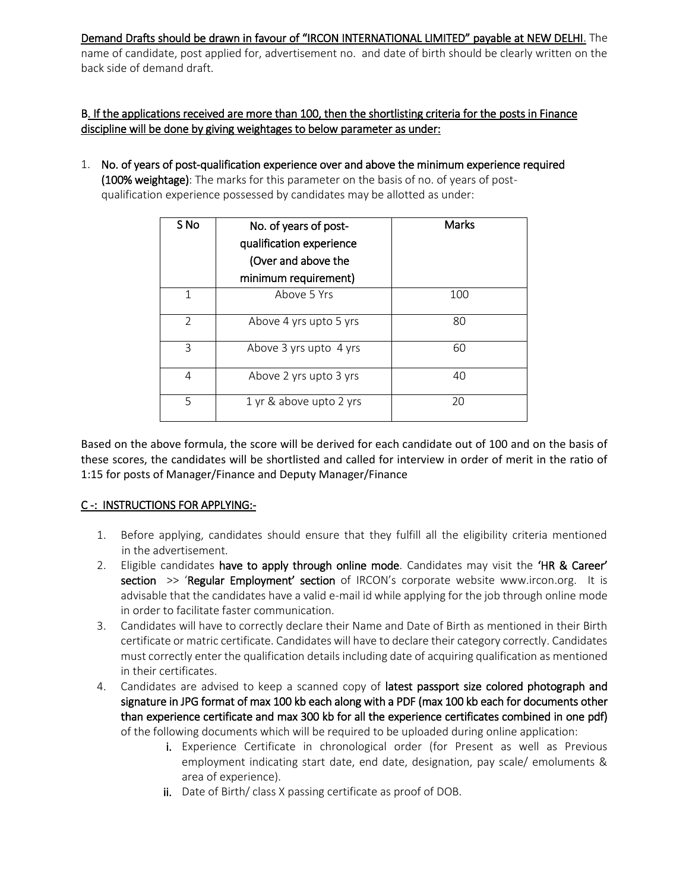#### Demand Drafts should be drawn in favour of "IRCON INTERNATIONAL LIMITED" payable at NEW DELHI. The

name of candidate, post applied for, advertisement no. and date of birth should be clearly written on the back side of demand draft.

## B. If the applications received are more than 100, then the shortlisting criteria for the posts in Finance discipline will be done by giving weightages to below parameter as under:

1. No. of years of post-qualification experience over and above the minimum experience required (100% weightage): The marks for this parameter on the basis of no. of years of postqualification experience possessed by candidates may be allotted as under:

| S <sub>No</sub> | No. of years of post-<br>qualification experience<br>(Over and above the<br>minimum requirement) | <b>Marks</b> |  |
|-----------------|--------------------------------------------------------------------------------------------------|--------------|--|
| 1               | Above 5 Yrs                                                                                      | 100          |  |
| $\mathfrak{D}$  | Above 4 yrs upto 5 yrs                                                                           | 80           |  |
| 3               | Above 3 yrs upto 4 yrs                                                                           | 60           |  |
| 4               | Above 2 yrs upto 3 yrs                                                                           | 40           |  |
| 5               | 1 yr & above upto 2 yrs                                                                          | 20           |  |

Based on the above formula, the score will be derived for each candidate out of 100 and on the basis of these scores, the candidates will be shortlisted and called for interview in order of merit in the ratio of 1:15 for posts of Manager/Finance and Deputy Manager/Finance

## C -: INSTRUCTIONS FOR APPLYING:-

- 1. Before applying, candidates should ensure that they fulfill all the eligibility criteria mentioned in the advertisement.
- 2. Eligible candidates have to apply through online mode. Candidates may visit the 'HR & Career' section >> 'Regular Employment' section of IRCON's corporate website www.ircon.org. It is advisable that the candidates have a valid e-mail id while applying for the job through online mode in order to facilitate faster communication.
- 3. Candidates will have to correctly declare their Name and Date of Birth as mentioned in their Birth certificate or matric certificate. Candidates will have to declare their category correctly. Candidates must correctly enter the qualification details including date of acquiring qualification as mentioned in their certificates.
- 4. Candidates are advised to keep a scanned copy of latest passport size colored photograph and signature in JPG format of max 100 kb each along with a PDF (max 100 kb each for documents other than experience certificate and max 300 kb for all the experience certificates combined in one pdf) of the following documents which will be required to be uploaded during online application:
	- i. Experience Certificate in chronological order (for Present as well as Previous employment indicating start date, end date, designation, pay scale/ emoluments & area of experience).
	- ii. Date of Birth/ class X passing certificate as proof of DOB.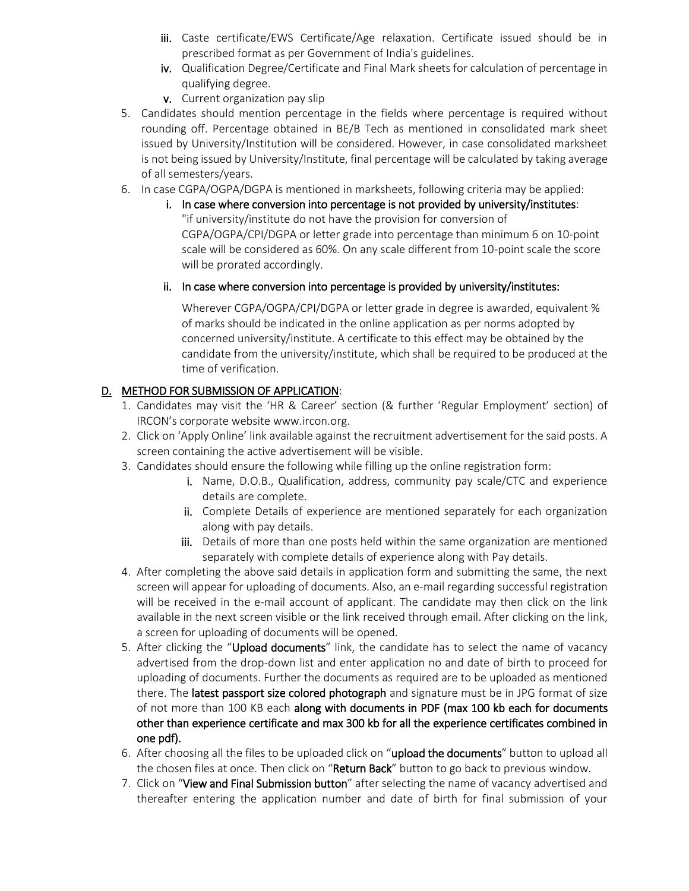- iii. Caste certificate/EWS Certificate/Age relaxation. Certificate issued should be in prescribed format as per Government of India's guidelines.
- iv. Qualification Degree/Certificate and Final Mark sheets for calculation of percentage in qualifying degree.
- v. Current organization pay slip
- 5. Candidates should mention percentage in the fields where percentage is required without rounding off. Percentage obtained in BE/B Tech as mentioned in consolidated mark sheet issued by University/Institution will be considered. However, in case consolidated marksheet is not being issued by University/Institute, final percentage will be calculated by taking average of all semesters/years.
- 6. In case CGPA/OGPA/DGPA is mentioned in marksheets, following criteria may be applied:
	- i. In case where conversion into percentage is not provided by university/institutes: "if university/institute do not have the provision for conversion of CGPA/OGPA/CPI/DGPA or letter grade into percentage than minimum 6 on 10-point scale will be considered as 60%. On any scale different from 10-point scale the score will be prorated accordingly.
	- ii. In case where conversion into percentage is provided by university/institutes:

Wherever CGPA/OGPA/CPI/DGPA or letter grade in degree is awarded, equivalent % of marks should be indicated in the online application as per norms adopted by concerned university/institute. A certificate to this effect may be obtained by the candidate from the university/institute, which shall be required to be produced at the time of verification.

# D. METHOD FOR SUBMISSION OF APPLICATION:

- 1. Candidates may visit the 'HR & Career' section (& further 'Regular Employment' section) of IRCON's corporate website [www.ircon.org.](http://www.ircon.org/)
- 2. Click on 'Apply Online' link available against the recruitment advertisement for the said posts. A screen containing the active advertisement will be visible.
- 3. Candidates should ensure the following while filling up the online registration form:
	- i. Name, D.O.B., Qualification, address, community pay scale/CTC and experience details are complete.
	- ii. Complete Details of experience are mentioned separately for each organization along with pay details.
	- iii. Details of more than one posts held within the same organization are mentioned separately with complete details of experience along with Pay details.
- 4. After completing the above said details in application form and submitting the same, the next screen will appear for uploading of documents. Also, an e-mail regarding successful registration will be received in the e-mail account of applicant. The candidate may then click on the link available in the next screen visible or the link received through email. After clicking on the link, a screen for uploading of documents will be opened.
- 5. After clicking the "Upload documents" link, the candidate has to select the name of vacancy advertised from the drop-down list and enter application no and date of birth to proceed for uploading of documents. Further the documents as required are to be uploaded as mentioned there. The latest passport size colored photograph and signature must be in JPG format of size of not more than 100 KB each along with documents in PDF (max 100 kb each for documents other than experience certificate and max 300 kb for all the experience certificates combined in one pdf).
- 6. After choosing all the files to be uploaded click on "upload the documents" button to upload all the chosen files at once. Then click on "Return Back" button to go back to previous window.
- 7. Click on "View and Final Submission button" after selecting the name of vacancy advertised and thereafter entering the application number and date of birth for final submission of your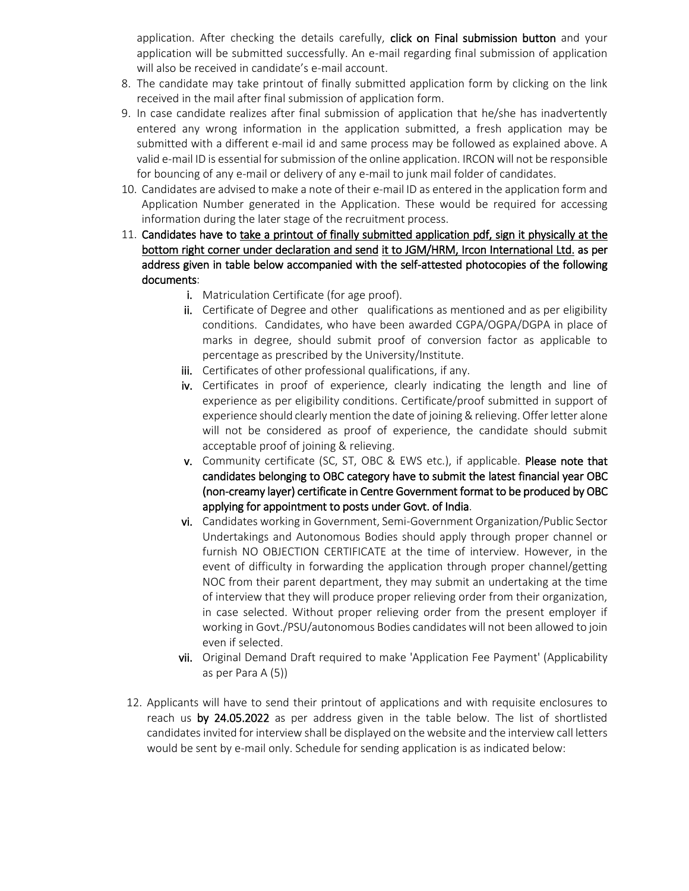application. After checking the details carefully, click on Final submission button and your application will be submitted successfully. An e-mail regarding final submission of application will also be received in candidate's e-mail account.

- 8. The candidate may take printout of finally submitted application form by clicking on the link received in the mail after final submission of application form.
- 9. In case candidate realizes after final submission of application that he/she has inadvertently entered any wrong information in the application submitted, a fresh application may be submitted with a different e-mail id and same process may be followed as explained above. A valid e-mail ID is essential for submission of the online application. IRCON will not be responsible for bouncing of any e-mail or delivery of any e-mail to junk mail folder of candidates.
- 10. Candidates are advised to make a note of their e-mail ID as entered in the application form and Application Number generated in the Application. These would be required for accessing information during the later stage of the recruitment process.
- 11. Candidates have to take a printout of finally submitted application pdf, sign it physically at the bottom right corner under declaration and send it to JGM/HRM, Ircon International Ltd. as per address given in table below accompanied with the self-attested photocopies of the following documents:
	- i. Matriculation Certificate (for age proof).
	- ii. Certificate of Degree and other qualifications as mentioned and as per eligibility conditions. Candidates, who have been awarded CGPA/OGPA/DGPA in place of marks in degree, should submit proof of conversion factor as applicable to percentage as prescribed by the University/Institute.
	- iii. Certificates of other professional qualifications, if any.
	- iv. Certificates in proof of experience, clearly indicating the length and line of experience as per eligibility conditions. Certificate/proof submitted in support of experience should clearly mention the date of joining & relieving. Offer letter alone will not be considered as proof of experience, the candidate should submit acceptable proof of joining & relieving.
	- v. Community certificate (SC, ST, OBC & EWS etc.), if applicable. Please note that candidates belonging to OBC category have to submit the latest financial year OBC (non-creamy layer) certificate in Centre Government format to be produced by OBC applying for appointment to posts under Govt. of India.
	- vi. Candidates working in Government, Semi-Government Organization/Public Sector Undertakings and Autonomous Bodies should apply through proper channel or furnish NO OBJECTION CERTIFICATE at the time of interview. However, in the event of difficulty in forwarding the application through proper channel/getting NOC from their parent department, they may submit an undertaking at the time of interview that they will produce proper relieving order from their organization, in case selected. Without proper relieving order from the present employer if working in Govt./PSU/autonomous Bodies candidates will not been allowed to join even if selected.
	- vii. Original Demand Draft required to make 'Application Fee Payment' (Applicability as per Para A (5))
- 12. Applicants will have to send their printout of applications and with requisite enclosures to reach us by 24.05.2022 as per address given in the table below. The list of shortlisted candidates invited for interview shall be displayed on the website and the interview call letters would be sent by e-mail only. Schedule for sending application is as indicated below: